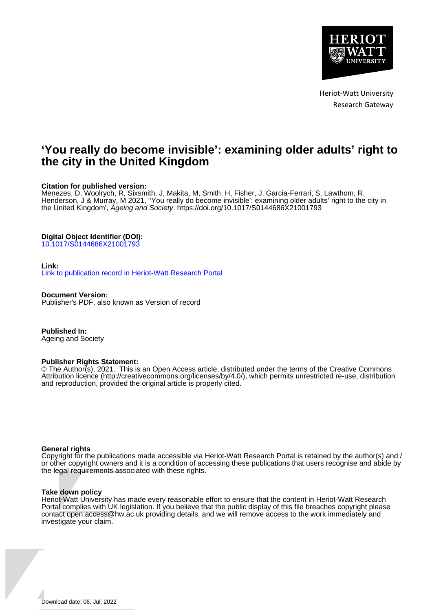

Heriot-Watt University Research Gateway

# **'You really do become invisible': examining older adults' right to the city in the United Kingdom**

# **Citation for published version:**

Menezes, D, Woolrych, R, Sixsmith, J, Makita, M, Smith, H, Fisher, J, Garcia-Ferrari, S, Lawthom, R, Henderson, J & Murray, M 2021, ''You really do become invisible': examining older adults' right to the city in the United Kingdom', Ageing and Society.<https://doi.org/10.1017/S0144686X21001793>

# **Digital Object Identifier (DOI):**

[10.1017/S0144686X21001793](https://doi.org/10.1017/S0144686X21001793)

# **Link:**

[Link to publication record in Heriot-Watt Research Portal](https://researchportal.hw.ac.uk/en/publications/b5ef76d9-aa27-437a-ab99-312458ce9179)

**Document Version:** Publisher's PDF, also known as Version of record

**Published In:** Ageing and Society

## **Publisher Rights Statement:**

© The Author(s), 2021. This is an Open Access article, distributed under the terms of the Creative Commons Attribution licence (http://creativecommons.org/licenses/by/4.0/), which permits unrestricted re-use, distribution and reproduction, provided the original article is properly cited.

## **General rights**

Copyright for the publications made accessible via Heriot-Watt Research Portal is retained by the author(s) and / or other copyright owners and it is a condition of accessing these publications that users recognise and abide by the legal requirements associated with these rights.

## **Take down policy**

Heriot-Watt University has made every reasonable effort to ensure that the content in Heriot-Watt Research Portal complies with UK legislation. If you believe that the public display of this file breaches copyright please contact open.access@hw.ac.uk providing details, and we will remove access to the work immediately and investigate your claim.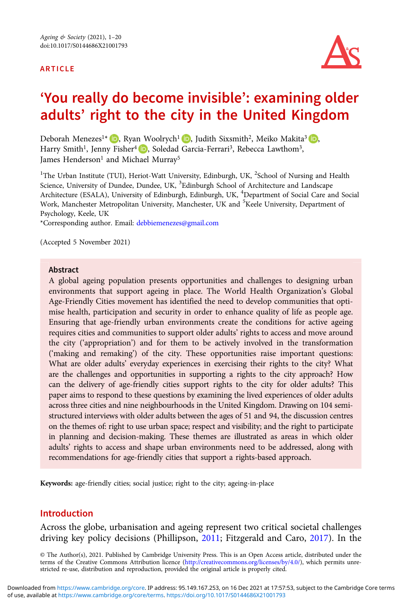#### ARTICLE



# 'You really do become invisible': examining older adults' right to the city in the United Kingdom

Deborah Menezes<sup>1\*</sup> (D)[,](https://orcid.org/0000-0002-2284-0161) Ryan Woolrych<sup>1</sup> (D), Judith Sixsmith<sup>2</sup>, Meiko Makita<sup>3</sup> (D), Harry Smith<sup>1</sup>, Jenny Fisher<sup>4</sup> (D), Soledad Garcia-Ferrari<sup>3</sup>, Rebecca Lawthom<sup>3</sup>, James Henderson<sup>1</sup> and Michael Murray<sup>5</sup>

<sup>1</sup>The Urban Institute (TUI), Heriot-Watt University, Edinburgh, UK, <sup>2</sup>School of Nursing and Health Science, University of Dundee, Dundee, UK, <sup>3</sup>Edinburgh School of Architecture and Landscape Architecture (ESALA), University of Edinburgh, Edinburgh, UK, <sup>4</sup>Department of Social Care and Social Work, Manchester Metropolitan University, Manchester, UK and <sup>5</sup>Keele University, Department of Psychology, Keele, UK

\*Corresponding author. Email: [debbiemenezes@gmail.com](mailto:debbiemenezes@gmail.com)

(Accepted 5 November 2021)

### Abstract

A global ageing population presents opportunities and challenges to designing urban environments that support ageing in place. The World Health Organization's Global Age-Friendly Cities movement has identified the need to develop communities that optimise health, participation and security in order to enhance quality of life as people age. Ensuring that age-friendly urban environments create the conditions for active ageing requires cities and communities to support older adults' rights to access and move around the city ('appropriation') and for them to be actively involved in the transformation ('making and remaking') of the city. These opportunities raise important questions: What are older adults' everyday experiences in exercising their rights to the city? What are the challenges and opportunities in supporting a rights to the city approach? How can the delivery of age-friendly cities support rights to the city for older adults? This paper aims to respond to these questions by examining the lived experiences of older adults across three cities and nine neighbourhoods in the United Kingdom. Drawing on 104 semistructured interviews with older adults between the ages of 51 and 94, the discussion centres on the themes of: right to use urban space; respect and visibility; and the right to participate in planning and decision-making. These themes are illustrated as areas in which older adults' rights to access and shape urban environments need to be addressed, along with recommendations for age-friendly cities that support a rights-based approach.

Keywords: age-friendly cities; social justice; right to the city; ageing-in-place

### Introduction

Across the globe, urbanisation and ageing represent two critical societal challenges driving key policy decisions (Phillipson, [2011](#page-19-0); Fitzgerald and Caro, [2017\)](#page-18-0). In the

© The Author(s), 2021. Published by Cambridge University Press. This is an Open Access article, distributed under the terms of the Creative Commons Attribution licence ([http://creativecommons.org/licenses/by/4.0/\)](http://creativecommons.org/licenses/by/4.0/), which permits unrestricted re-use, distribution and reproduction, provided the original article is properly cited.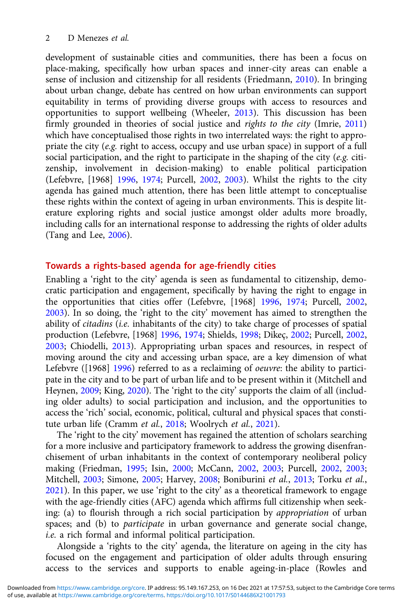development of sustainable cities and communities, there has been a focus on place-making, specifically how urban spaces and inner-city areas can enable a sense of inclusion and citizenship for all residents (Friedmann, [2010](#page-18-0)). In bringing about urban change, debate has centred on how urban environments can support equitability in terms of providing diverse groups with access to resources and opportunities to support wellbeing (Wheeler, [2013](#page-20-0)). This discussion has been firmly grounded in theories of social justice and rights to the city (Imrie, [2011\)](#page-18-0) which have conceptualised those rights in two interrelated ways: the right to appropriate the city (e.g. right to access, occupy and use urban space) in support of a full social participation, and the right to participate in the shaping of the city (e.g. citizenship, involvement in decision-making) to enable political participation (Lefebvre, [1968] [1996,](#page-19-0) [1974;](#page-19-0) Purcell, [2002](#page-19-0), [2003](#page-19-0)). Whilst the rights to the city agenda has gained much attention, there has been little attempt to conceptualise these rights within the context of ageing in urban environments. This is despite literature exploring rights and social justice amongst older adults more broadly, including calls for an international response to addressing the rights of older adults (Tang and Lee, [2006](#page-20-0)).

# Towards a rights-based agenda for age-friendly cities

Enabling a 'right to the city' agenda is seen as fundamental to citizenship, democratic participation and engagement, specifically by having the right to engage in the opportunities that cities offer (Lefebvre, [1968] [1996,](#page-19-0) [1974;](#page-19-0) Purcell, [2002](#page-19-0), [2003\)](#page-19-0). In so doing, the 'right to the city' movement has aimed to strengthen the ability of citadins (i.e. inhabitants of the city) to take charge of processes of spatial production (Lefebvre, [1968] [1996,](#page-19-0) [1974;](#page-19-0) Shields, [1998;](#page-19-0) Dikeç, [2002;](#page-18-0) Purcell, [2002](#page-19-0), [2003;](#page-19-0) Chiodelli, [2013](#page-18-0)). Appropriating urban spaces and resources, in respect of moving around the city and accessing urban space, are a key dimension of what Lefebvre ([1968] [1996](#page-19-0)) referred to as a reclaiming of *oeuvre*: the ability to participate in the city and to be part of urban life and to be present within it (Mitchell and Heynen, [2009;](#page-19-0) King, [2020](#page-19-0)). The 'right to the city' supports the claim of all (including older adults) to social participation and inclusion, and the opportunities to access the 'rich' social, economic, political, cultural and physical spaces that constitute urban life (Cramm et al., [2018](#page-18-0); Woolrych et al., [2021](#page-20-0)).

The 'right to the city' movement has regained the attention of scholars searching for a more inclusive and participatory framework to address the growing disenfranchisement of urban inhabitants in the context of contemporary neoliberal policy making (Friedman, [1995](#page-18-0); Isin, [2000](#page-19-0); McCann, [2002](#page-19-0), [2003;](#page-19-0) Purcell, [2002,](#page-19-0) [2003](#page-19-0); Mitchell, [2003;](#page-19-0) Simone, [2005;](#page-19-0) Harvey, [2008](#page-18-0); Boniburini et al., [2013;](#page-18-0) Torku et al., [2021\)](#page-20-0). In this paper, we use 'right to the city' as a theoretical framework to engage with the age-friendly cities (AFC) agenda which affirms full citizenship when seeking: (a) to flourish through a rich social participation by appropriation of urban spaces; and (b) to participate in urban governance and generate social change, i.e. a rich formal and informal political participation.

Alongside a 'rights to the city' agenda, the literature on ageing in the city has focused on the engagement and participation of older adults through ensuring access to the services and supports to enable ageing-in-place (Rowles and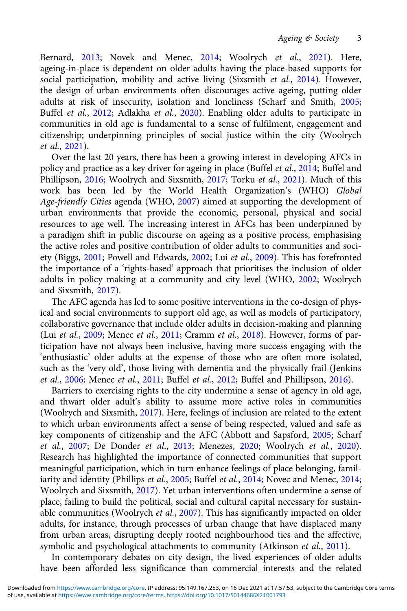Bernard, [2013;](#page-19-0) Novek and Menec, [2014;](#page-19-0) Woolrych et al., [2021\)](#page-20-0). Here, ageing-in-place is dependent on older adults having the place-based supports for social participation, mobility and active living (Sixsmith et al., [2014\)](#page-19-0). However, the design of urban environments often discourages active ageing, putting older adults at risk of insecurity, isolation and loneliness (Scharf and Smith, [2005](#page-19-0); Buffel et al., [2012](#page-18-0); Adlakha et al., [2020](#page-18-0)). Enabling older adults to participate in communities in old age is fundamental to a sense of fulfilment, engagement and citizenship; underpinning principles of social justice within the city (Woolrych et al., [2021](#page-20-0)).

Over the last 20 years, there has been a growing interest in developing AFCs in policy and practice as a key driver for ageing in place (Buffel et al., [2014;](#page-18-0) Buffel and Phillipson, [2016](#page-18-0); Woolrych and Sixsmith, [2017;](#page-20-0) Torku et al., [2021](#page-20-0)). Much of this work has been led by the World Health Organization's (WHO) Global Age-friendly Cities agenda (WHO, [2007\)](#page-20-0) aimed at supporting the development of urban environments that provide the economic, personal, physical and social resources to age well. The increasing interest in AFCs has been underpinned by a paradigm shift in public discourse on ageing as a positive process, emphasising the active roles and positive contribution of older adults to communities and society (Biggs, [2001](#page-18-0); Powell and Edwards, [2002](#page-19-0); Lui et al., [2009\)](#page-19-0). This has forefronted the importance of a 'rights-based' approach that prioritises the inclusion of older adults in policy making at a community and city level (WHO, [2002;](#page-20-0) Woolrych and Sixsmith, [2017](#page-20-0)).

The AFC agenda has led to some positive interventions in the co-design of physical and social environments to support old age, as well as models of participatory, collaborative governance that include older adults in decision-making and planning (Lui et al., [2009](#page-19-0); Menec et al., [2011](#page-19-0); Cramm et al., [2018\)](#page-18-0). However, forms of participation have not always been inclusive, having more success engaging with the 'enthusiastic' older adults at the expense of those who are often more isolated, such as the 'very old', those living with dementia and the physically frail (Jenkins et al., [2006](#page-19-0); Menec et al., [2011](#page-19-0); Buffel et al., [2012](#page-18-0); Buffel and Phillipson, [2016](#page-18-0)).

Barriers to exercising rights to the city undermine a sense of agency in old age, and thwart older adult's ability to assume more active roles in communities (Woolrych and Sixsmith, [2017\)](#page-20-0). Here, feelings of inclusion are related to the extent to which urban environments affect a sense of being respected, valued and safe as key components of citizenship and the AFC (Abbott and Sapsford, [2005;](#page-18-0) Scharf et al., [2007](#page-19-0); De Donder et al., [2013](#page-18-0); Menezes, [2020;](#page-19-0) Woolrych et al., [2020\)](#page-20-0). Research has highlighted the importance of connected communities that support meaningful participation, which in turn enhance feelings of place belonging, famil-iarity and identity (Phillips et al., [2005](#page-19-0); Buffel et al., [2014;](#page-18-0) Novec and Menec, [2014](#page-19-0); Woolrych and Sixsmith, [2017\)](#page-20-0). Yet urban interventions often undermine a sense of place, failing to build the political, social and cultural capital necessary for sustain-able communities (Woolrych et al., [2007](#page-20-0)). This has significantly impacted on older adults, for instance, through processes of urban change that have displaced many from urban areas, disrupting deeply rooted neighbourhood ties and the affective, symbolic and psychological attachments to community (Atkinson et al., [2011\)](#page-18-0).

In contemporary debates on city design, the lived experiences of older adults have been afforded less significance than commercial interests and the related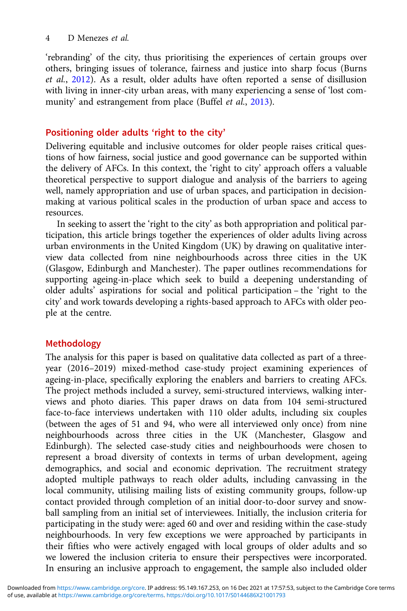'rebranding' of the city, thus prioritising the experiences of certain groups over others, bringing issues of tolerance, fairness and justice into sharp focus (Burns et al., [2012\)](#page-18-0). As a result, older adults have often reported a sense of disillusion with living in inner-city urban areas, with many experiencing a sense of 'lost com-munity' and estrangement from place (Buffel et al., [2013\)](#page-18-0).

# Positioning older adults 'right to the city'

Delivering equitable and inclusive outcomes for older people raises critical questions of how fairness, social justice and good governance can be supported within the delivery of AFCs. In this context, the 'right to city' approach offers a valuable theoretical perspective to support dialogue and analysis of the barriers to ageing well, namely appropriation and use of urban spaces, and participation in decisionmaking at various political scales in the production of urban space and access to resources.

In seeking to assert the 'right to the city' as both appropriation and political participation, this article brings together the experiences of older adults living across urban environments in the United Kingdom (UK) by drawing on qualitative interview data collected from nine neighbourhoods across three cities in the UK (Glasgow, Edinburgh and Manchester). The paper outlines recommendations for supporting ageing-in-place which seek to build a deepening understanding of older adults' aspirations for social and political participation – the 'right to the city' and work towards developing a rights-based approach to AFCs with older people at the centre.

# Methodology

The analysis for this paper is based on qualitative data collected as part of a threeyear (2016–2019) mixed-method case-study project examining experiences of ageing-in-place, specifically exploring the enablers and barriers to creating AFCs. The project methods included a survey, semi-structured interviews, walking interviews and photo diaries. This paper draws on data from 104 semi-structured face-to-face interviews undertaken with 110 older adults, including six couples (between the ages of 51 and 94, who were all interviewed only once) from nine neighbourhoods across three cities in the UK (Manchester, Glasgow and Edinburgh). The selected case-study cities and neighbourhoods were chosen to represent a broad diversity of contexts in terms of urban development, ageing demographics, and social and economic deprivation. The recruitment strategy adopted multiple pathways to reach older adults, including canvassing in the local community, utilising mailing lists of existing community groups, follow-up contact provided through completion of an initial door-to-door survey and snowball sampling from an initial set of interviewees. Initially, the inclusion criteria for participating in the study were: aged 60 and over and residing within the case-study neighbourhoods. In very few exceptions we were approached by participants in their fifties who were actively engaged with local groups of older adults and so we lowered the inclusion criteria to ensure their perspectives were incorporated. In ensuring an inclusive approach to engagement, the sample also included older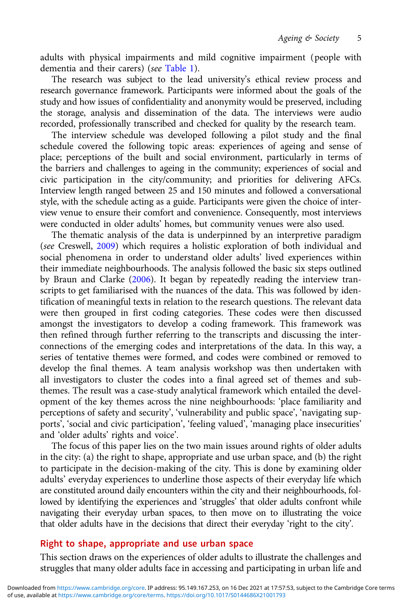adults with physical impairments and mild cognitive impairment (people with dementia and their carers) (see [Table 1\)](#page-6-0).

The research was subject to the lead university's ethical review process and research governance framework. Participants were informed about the goals of the study and how issues of confidentiality and anonymity would be preserved, including the storage, analysis and dissemination of the data. The interviews were audio recorded, professionally transcribed and checked for quality by the research team.

The interview schedule was developed following a pilot study and the final schedule covered the following topic areas: experiences of ageing and sense of place; perceptions of the built and social environment, particularly in terms of the barriers and challenges to ageing in the community; experiences of social and civic participation in the city/community; and priorities for delivering AFCs. Interview length ranged between 25 and 150 minutes and followed a conversational style, with the schedule acting as a guide. Participants were given the choice of interview venue to ensure their comfort and convenience. Consequently, most interviews were conducted in older adults' homes, but community venues were also used.

The thematic analysis of the data is underpinned by an interpretive paradigm (see Creswell, [2009\)](#page-18-0) which requires a holistic exploration of both individual and social phenomena in order to understand older adults' lived experiences within their immediate neighbourhoods. The analysis followed the basic six steps outlined by Braun and Clarke ([2006](#page-18-0)). It began by repeatedly reading the interview transcripts to get familiarised with the nuances of the data. This was followed by identification of meaningful texts in relation to the research questions. The relevant data were then grouped in first coding categories. These codes were then discussed amongst the investigators to develop a coding framework. This framework was then refined through further referring to the transcripts and discussing the interconnections of the emerging codes and interpretations of the data. In this way, a series of tentative themes were formed, and codes were combined or removed to develop the final themes. A team analysis workshop was then undertaken with all investigators to cluster the codes into a final agreed set of themes and subthemes. The result was a case-study analytical framework which entailed the development of the key themes across the nine neighbourhoods: 'place familiarity and perceptions of safety and security', 'vulnerability and public space', 'navigating supports', 'social and civic participation', 'feeling valued', 'managing place insecurities' and 'older adults' rights and voice'.

The focus of this paper lies on the two main issues around rights of older adults in the city: (a) the right to shape, appropriate and use urban space, and (b) the right to participate in the decision-making of the city. This is done by examining older adults' everyday experiences to underline those aspects of their everyday life which are constituted around daily encounters within the city and their neighbourhoods, followed by identifying the experiences and 'struggles' that older adults confront while navigating their everyday urban spaces, to then move on to illustrating the voice that older adults have in the decisions that direct their everyday 'right to the city'.

# Right to shape, appropriate and use urban space

This section draws on the experiences of older adults to illustrate the challenges and struggles that many older adults face in accessing and participating in urban life and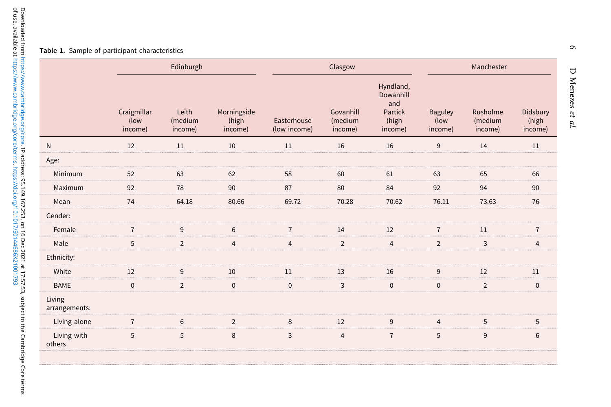#### <span id="page-6-0"></span>Table 1. Sample of participant characteristics

|                         | Edinburgh                      |                             |                                 | Glasgow                     |                                 |                                                              | Manchester                        |                                |                              |
|-------------------------|--------------------------------|-----------------------------|---------------------------------|-----------------------------|---------------------------------|--------------------------------------------------------------|-----------------------------------|--------------------------------|------------------------------|
|                         | Craigmillar<br>(low<br>income) | Leith<br>(medium<br>income) | Morningside<br>(high<br>income) | Easterhouse<br>(low income) | Govanhill<br>(medium<br>income) | Hyndland,<br>Dowanhill<br>and<br>Partick<br>(high<br>income) | <b>Baguley</b><br>(low<br>income) | Rusholme<br>(medium<br>income) | Didsbury<br>(high<br>income) |
| $\mathsf{N}$            | 12                             | 11                          | 10                              | 11                          | 16                              | 16                                                           | 9                                 | 14                             | 11                           |
| Age:                    |                                |                             |                                 |                             |                                 |                                                              |                                   |                                |                              |
| Minimum                 | 52                             | 63                          | 62                              | 58                          | 60                              | 61                                                           | 63                                | 65                             | 66                           |
| Maximum                 | 92                             | 78                          | 90                              | 87                          | 80                              | 84                                                           | 92                                | 94                             | 90                           |
| Mean                    | 74                             | 64.18                       | 80.66                           | 69.72                       | 70.28                           | 70.62                                                        | 76.11                             | 73.63                          | 76                           |
| Gender:                 |                                |                             |                                 |                             |                                 |                                                              |                                   |                                |                              |
| Female                  | $\overline{7}$                 | 9                           | 6                               | $\overline{7}$              | 14                              | 12                                                           | $\overline{7}$                    | 11                             | $\overline{7}$               |
| Male                    | 5                              | $\overline{2}$              | $\overline{4}$                  | $\overline{4}$              | $\overline{2}$                  | $\overline{4}$                                               | $\overline{2}$                    | 3                              | $\overline{4}$               |
| Ethnicity:              |                                |                             |                                 |                             |                                 |                                                              |                                   |                                |                              |
| White                   | 12                             | 9                           | 10                              | 11                          | 13                              | 16                                                           | 9                                 | 12                             | 11                           |
| <b>BAME</b>             | $\mathbf{0}$                   | $\overline{2}$              | $\mathbf 0$                     | $\mathbf 0$                 | 3                               | $\pmb{0}$                                                    | $\mathbf 0$                       | $\overline{2}$                 | $\mathbf 0$                  |
| Living<br>arrangements: |                                |                             |                                 |                             |                                 |                                                              |                                   |                                |                              |
| Living alone            | $\overline{7}$                 | 6                           | $\overline{2}$                  | 8                           | 12                              | 9                                                            | $\overline{4}$                    | 5                              | 5                            |
| Living with<br>others   | 5                              | 5                           | 8                               | 3                           | $\overline{4}$                  | $\overline{7}$                                               | 5                                 | $9\,$                          | 6                            |

 $\circ$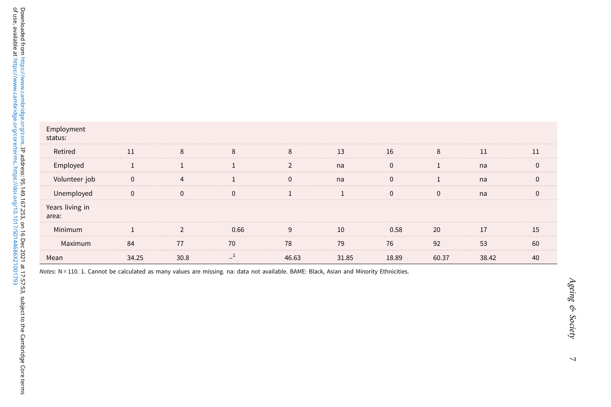| allable at                                   |                                |
|----------------------------------------------|--------------------------------|
| pridge.org/core/terms. https://doi.or        | Employment<br>status:          |
| ہے<br>وا                                     | Retired                        |
|                                              | Employed                       |
|                                              | Volunteer job                  |
|                                              | Unemployed                     |
| 167.253, or                                  | Years living in<br>area:       |
|                                              | Minimum                        |
| Dec 2                                        | Maximum                        |
|                                              | Mean                           |
| 7:57:53, subject to the Cambridge Core terms | $N = 110.$<br>Notes:<br>1. Car |

| Employment<br>status:    |              |               |              |                |       |              |              |       |              |
|--------------------------|--------------|---------------|--------------|----------------|-------|--------------|--------------|-------|--------------|
| Retired                  | 11           | 8             | 8            | 8              | 13    | 16           | 8            | 11    | 11           |
| Employed                 |              |               |              | $\overline{2}$ | na    | $\mathbf{0}$ |              | na    | $\Omega$     |
| Volunteer job            | $\mathbf{0}$ | 4             |              | $\mathbf 0$    | na    | $\mathbf{0}$ |              | na    | $\mathbf{0}$ |
| Unemployed               | $\mathbf{0}$ | $\Omega$      | $\mathbf{0}$ |                |       | $\mathbf{0}$ | $\mathbf{0}$ | na    | $\mathbf{0}$ |
| Years living in<br>area: |              |               |              |                |       |              |              |       |              |
| Minimum                  |              | $\mathcal{P}$ | 0.66         | 9              | 10    | 0.58         | 20           | 17    | 15           |
| Maximum                  | 84           | 77            | 70           | 78             | 79    | 76           | 92           | 53    | 60           |
| Mean                     | 34.25        | 30.8          | $\mathbf{I}$ | 46.63          | 31.85 | 18.89        | 60.37        | 38.42 | 40           |

nnot be calculated as many values are missing. na: data not available. BAME: Black, Asian and Minority Ethnicities.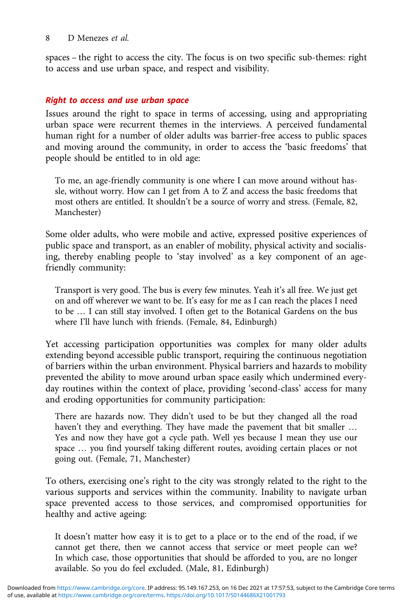spaces – the right to access the city. The focus is on two specific sub-themes: right to access and use urban space, and respect and visibility.

## Right to access and use urban space

Issues around the right to space in terms of accessing, using and appropriating urban space were recurrent themes in the interviews. A perceived fundamental human right for a number of older adults was barrier-free access to public spaces and moving around the community, in order to access the 'basic freedoms' that people should be entitled to in old age:

To me, an age-friendly community is one where I can move around without hassle, without worry. How can I get from A to Z and access the basic freedoms that most others are entitled. It shouldn't be a source of worry and stress. (Female, 82, Manchester)

Some older adults, who were mobile and active, expressed positive experiences of public space and transport, as an enabler of mobility, physical activity and socialising, thereby enabling people to 'stay involved' as a key component of an agefriendly community:

Transport is very good. The bus is every few minutes. Yeah it's all free. We just get on and off wherever we want to be. It's easy for me as I can reach the places I need to be … I can still stay involved. I often get to the Botanical Gardens on the bus where I'll have lunch with friends. (Female, 84, Edinburgh)

Yet accessing participation opportunities was complex for many older adults extending beyond accessible public transport, requiring the continuous negotiation of barriers within the urban environment. Physical barriers and hazards to mobility prevented the ability to move around urban space easily which undermined everyday routines within the context of place, providing 'second-class' access for many and eroding opportunities for community participation:

There are hazards now. They didn't used to be but they changed all the road haven't they and everything. They have made the pavement that bit smaller … Yes and now they have got a cycle path. Well yes because I mean they use our space … you find yourself taking different routes, avoiding certain places or not going out. (Female, 71, Manchester)

To others, exercising one's right to the city was strongly related to the right to the various supports and services within the community. Inability to navigate urban space prevented access to those services, and compromised opportunities for healthy and active ageing:

It doesn't matter how easy it is to get to a place or to the end of the road, if we cannot get there, then we cannot access that service or meet people can we? In which case, those opportunities that should be afforded to you, are no longer available. So you do feel excluded. (Male, 81, Edinburgh)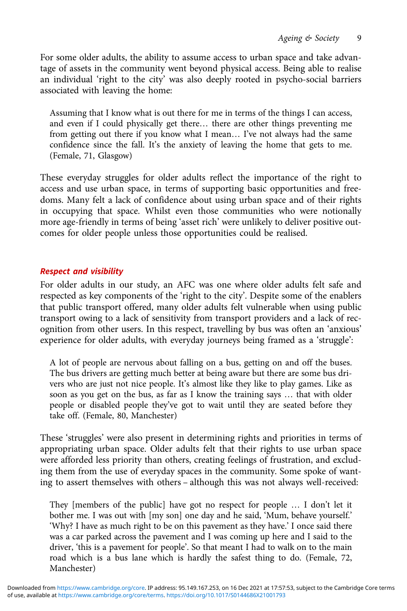For some older adults, the ability to assume access to urban space and take advantage of assets in the community went beyond physical access. Being able to realise an individual 'right to the city' was also deeply rooted in psycho-social barriers associated with leaving the home:

Assuming that I know what is out there for me in terms of the things I can access, and even if I could physically get there… there are other things preventing me from getting out there if you know what I mean… I've not always had the same confidence since the fall. It's the anxiety of leaving the home that gets to me. (Female, 71, Glasgow)

These everyday struggles for older adults reflect the importance of the right to access and use urban space, in terms of supporting basic opportunities and freedoms. Many felt a lack of confidence about using urban space and of their rights in occupying that space. Whilst even those communities who were notionally more age-friendly in terms of being 'asset rich' were unlikely to deliver positive outcomes for older people unless those opportunities could be realised.

# Respect and visibility

For older adults in our study, an AFC was one where older adults felt safe and respected as key components of the 'right to the city'. Despite some of the enablers that public transport offered, many older adults felt vulnerable when using public transport owing to a lack of sensitivity from transport providers and a lack of recognition from other users. In this respect, travelling by bus was often an 'anxious' experience for older adults, with everyday journeys being framed as a 'struggle':

A lot of people are nervous about falling on a bus, getting on and off the buses. The bus drivers are getting much better at being aware but there are some bus drivers who are just not nice people. It's almost like they like to play games. Like as soon as you get on the bus, as far as I know the training says … that with older people or disabled people they've got to wait until they are seated before they take off. (Female, 80, Manchester)

These 'struggles' were also present in determining rights and priorities in terms of appropriating urban space. Older adults felt that their rights to use urban space were afforded less priority than others, creating feelings of frustration, and excluding them from the use of everyday spaces in the community. Some spoke of wanting to assert themselves with others – although this was not always well-received:

They [members of the public] have got no respect for people … I don't let it bother me. I was out with [my son] one day and he said, 'Mum, behave yourself.' 'Why? I have as much right to be on this pavement as they have.' I once said there was a car parked across the pavement and I was coming up here and I said to the driver, 'this is a pavement for people'. So that meant I had to walk on to the main road which is a bus lane which is hardly the safest thing to do. (Female, 72, Manchester)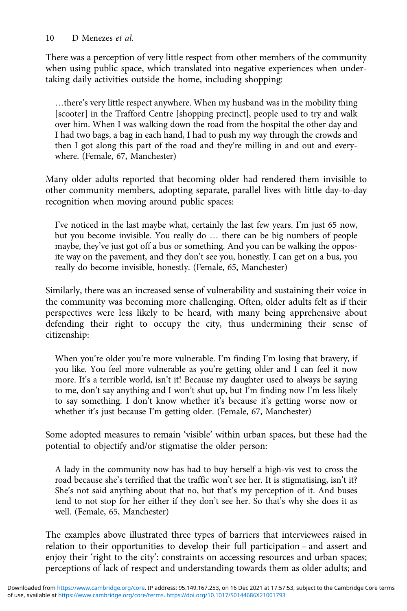There was a perception of very little respect from other members of the community when using public space, which translated into negative experiences when undertaking daily activities outside the home, including shopping:

…there's very little respect anywhere. When my husband was in the mobility thing [scooter] in the Trafford Centre [shopping precinct], people used to try and walk over him. When I was walking down the road from the hospital the other day and I had two bags, a bag in each hand, I had to push my way through the crowds and then I got along this part of the road and they're milling in and out and everywhere. (Female, 67, Manchester)

Many older adults reported that becoming older had rendered them invisible to other community members, adopting separate, parallel lives with little day-to-day recognition when moving around public spaces:

I've noticed in the last maybe what, certainly the last few years. I'm just 65 now, but you become invisible. You really do … there can be big numbers of people maybe, they've just got off a bus or something. And you can be walking the opposite way on the pavement, and they don't see you, honestly. I can get on a bus, you really do become invisible, honestly. (Female, 65, Manchester)

Similarly, there was an increased sense of vulnerability and sustaining their voice in the community was becoming more challenging. Often, older adults felt as if their perspectives were less likely to be heard, with many being apprehensive about defending their right to occupy the city, thus undermining their sense of citizenship:

When you're older you're more vulnerable. I'm finding I'm losing that bravery, if you like. You feel more vulnerable as you're getting older and I can feel it now more. It's a terrible world, isn't it! Because my daughter used to always be saying to me, don't say anything and I won't shut up, but I'm finding now I'm less likely to say something. I don't know whether it's because it's getting worse now or whether it's just because I'm getting older. (Female, 67, Manchester)

Some adopted measures to remain 'visible' within urban spaces, but these had the potential to objectify and/or stigmatise the older person:

A lady in the community now has had to buy herself a high-vis vest to cross the road because she's terrified that the traffic won't see her. It is stigmatising, isn't it? She's not said anything about that no, but that's my perception of it. And buses tend to not stop for her either if they don't see her. So that's why she does it as well. (Female, 65, Manchester)

The examples above illustrated three types of barriers that interviewees raised in relation to their opportunities to develop their full participation – and assert and enjoy their 'right to the city': constraints on accessing resources and urban spaces; perceptions of lack of respect and understanding towards them as older adults; and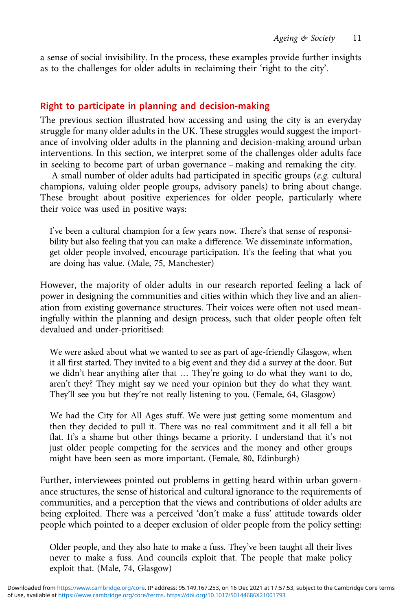a sense of social invisibility. In the process, these examples provide further insights as to the challenges for older adults in reclaiming their 'right to the city'.

# Right to participate in planning and decision-making

The previous section illustrated how accessing and using the city is an everyday struggle for many older adults in the UK. These struggles would suggest the importance of involving older adults in the planning and decision-making around urban interventions. In this section, we interpret some of the challenges older adults face in seeking to become part of urban governance – making and remaking the city.

A small number of older adults had participated in specific groups (e.g. cultural champions, valuing older people groups, advisory panels) to bring about change. These brought about positive experiences for older people, particularly where their voice was used in positive ways:

I've been a cultural champion for a few years now. There's that sense of responsibility but also feeling that you can make a difference. We disseminate information, get older people involved, encourage participation. It's the feeling that what you are doing has value. (Male, 75, Manchester)

However, the majority of older adults in our research reported feeling a lack of power in designing the communities and cities within which they live and an alienation from existing governance structures. Their voices were often not used meaningfully within the planning and design process, such that older people often felt devalued and under-prioritised:

We were asked about what we wanted to see as part of age-friendly Glasgow, when it all first started. They invited to a big event and they did a survey at the door. But we didn't hear anything after that … They're going to do what they want to do, aren't they? They might say we need your opinion but they do what they want. They'll see you but they're not really listening to you. (Female, 64, Glasgow)

We had the City for All Ages stuff. We were just getting some momentum and then they decided to pull it. There was no real commitment and it all fell a bit flat. It's a shame but other things became a priority. I understand that it's not just older people competing for the services and the money and other groups might have been seen as more important. (Female, 80, Edinburgh)

Further, interviewees pointed out problems in getting heard within urban governance structures, the sense of historical and cultural ignorance to the requirements of communities, and a perception that the views and contributions of older adults are being exploited. There was a perceived 'don't make a fuss' attitude towards older people which pointed to a deeper exclusion of older people from the policy setting:

Older people, and they also hate to make a fuss. They've been taught all their lives never to make a fuss. And councils exploit that. The people that make policy exploit that. (Male, 74, Glasgow)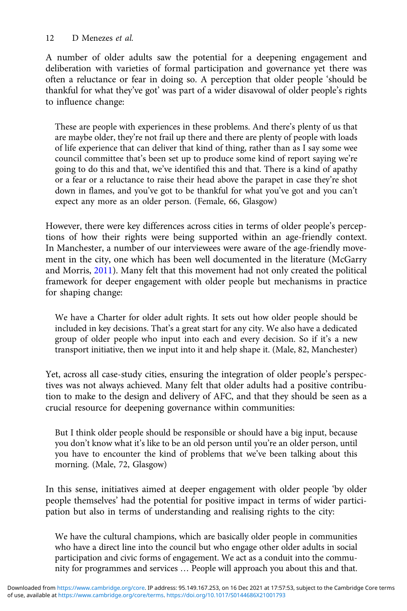A number of older adults saw the potential for a deepening engagement and deliberation with varieties of formal participation and governance yet there was often a reluctance or fear in doing so. A perception that older people 'should be thankful for what they've got' was part of a wider disavowal of older people's rights to influence change:

These are people with experiences in these problems. And there's plenty of us that are maybe older, they're not frail up there and there are plenty of people with loads of life experience that can deliver that kind of thing, rather than as I say some wee council committee that's been set up to produce some kind of report saying we're going to do this and that, we've identified this and that. There is a kind of apathy or a fear or a reluctance to raise their head above the parapet in case they're shot down in flames, and you've got to be thankful for what you've got and you can't expect any more as an older person. (Female, 66, Glasgow)

However, there were key differences across cities in terms of older people's perceptions of how their rights were being supported within an age-friendly context. In Manchester, a number of our interviewees were aware of the age-friendly movement in the city, one which has been well documented in the literature (McGarry and Morris, [2011](#page-19-0)). Many felt that this movement had not only created the political framework for deeper engagement with older people but mechanisms in practice for shaping change:

We have a Charter for older adult rights. It sets out how older people should be included in key decisions. That's a great start for any city. We also have a dedicated group of older people who input into each and every decision. So if it's a new transport initiative, then we input into it and help shape it. (Male, 82, Manchester)

Yet, across all case-study cities, ensuring the integration of older people's perspectives was not always achieved. Many felt that older adults had a positive contribution to make to the design and delivery of AFC, and that they should be seen as a crucial resource for deepening governance within communities:

But I think older people should be responsible or should have a big input, because you don't know what it's like to be an old person until you're an older person, until you have to encounter the kind of problems that we've been talking about this morning. (Male, 72, Glasgow)

In this sense, initiatives aimed at deeper engagement with older people 'by older people themselves' had the potential for positive impact in terms of wider participation but also in terms of understanding and realising rights to the city:

We have the cultural champions, which are basically older people in communities who have a direct line into the council but who engage other older adults in social participation and civic forms of engagement. We act as a conduit into the community for programmes and services … People will approach you about this and that.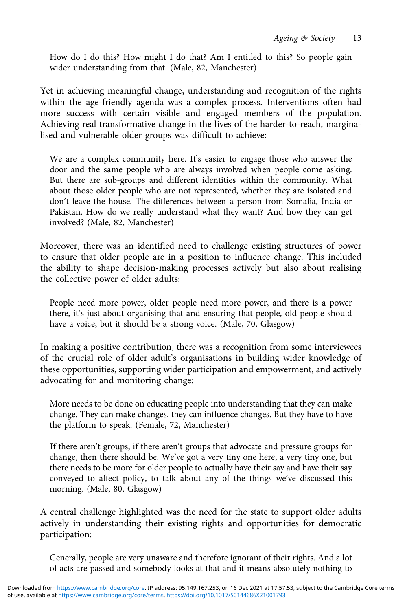How do I do this? How might I do that? Am I entitled to this? So people gain wider understanding from that. (Male, 82, Manchester)

Yet in achieving meaningful change, understanding and recognition of the rights within the age-friendly agenda was a complex process. Interventions often had more success with certain visible and engaged members of the population. Achieving real transformative change in the lives of the harder-to-reach, marginalised and vulnerable older groups was difficult to achieve:

We are a complex community here. It's easier to engage those who answer the door and the same people who are always involved when people come asking. But there are sub-groups and different identities within the community. What about those older people who are not represented, whether they are isolated and don't leave the house. The differences between a person from Somalia, India or Pakistan. How do we really understand what they want? And how they can get involved? (Male, 82, Manchester)

Moreover, there was an identified need to challenge existing structures of power to ensure that older people are in a position to influence change. This included the ability to shape decision-making processes actively but also about realising the collective power of older adults:

People need more power, older people need more power, and there is a power there, it's just about organising that and ensuring that people, old people should have a voice, but it should be a strong voice. (Male, 70, Glasgow)

In making a positive contribution, there was a recognition from some interviewees of the crucial role of older adult's organisations in building wider knowledge of these opportunities, supporting wider participation and empowerment, and actively advocating for and monitoring change:

More needs to be done on educating people into understanding that they can make change. They can make changes, they can influence changes. But they have to have the platform to speak. (Female, 72, Manchester)

If there aren't groups, if there aren't groups that advocate and pressure groups for change, then there should be. We've got a very tiny one here, a very tiny one, but there needs to be more for older people to actually have their say and have their say conveyed to affect policy, to talk about any of the things we've discussed this morning. (Male, 80, Glasgow)

A central challenge highlighted was the need for the state to support older adults actively in understanding their existing rights and opportunities for democratic participation:

Generally, people are very unaware and therefore ignorant of their rights. And a lot of acts are passed and somebody looks at that and it means absolutely nothing to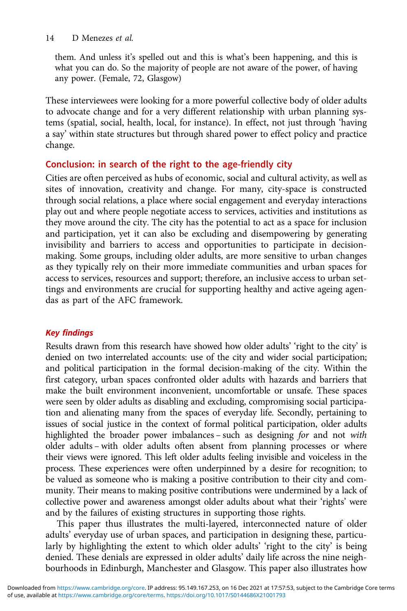them. And unless it's spelled out and this is what's been happening, and this is what you can do. So the majority of people are not aware of the power, of having any power. (Female, 72, Glasgow)

These interviewees were looking for a more powerful collective body of older adults to advocate change and for a very different relationship with urban planning systems (spatial, social, health, local, for instance). In effect, not just through 'having a say' within state structures but through shared power to effect policy and practice change.

# Conclusion: in search of the right to the age-friendly city

Cities are often perceived as hubs of economic, social and cultural activity, as well as sites of innovation, creativity and change. For many, city-space is constructed through social relations, a place where social engagement and everyday interactions play out and where people negotiate access to services, activities and institutions as they move around the city. The city has the potential to act as a space for inclusion and participation, yet it can also be excluding and disempowering by generating invisibility and barriers to access and opportunities to participate in decisionmaking. Some groups, including older adults, are more sensitive to urban changes as they typically rely on their more immediate communities and urban spaces for access to services, resources and support; therefore, an inclusive access to urban settings and environments are crucial for supporting healthy and active ageing agendas as part of the AFC framework.

# Key findings

Results drawn from this research have showed how older adults' 'right to the city' is denied on two interrelated accounts: use of the city and wider social participation; and political participation in the formal decision-making of the city. Within the first category, urban spaces confronted older adults with hazards and barriers that make the built environment inconvenient, uncomfortable or unsafe. These spaces were seen by older adults as disabling and excluding, compromising social participation and alienating many from the spaces of everyday life. Secondly, pertaining to issues of social justice in the context of formal political participation, older adults highlighted the broader power imbalances – such as designing for and not with older adults – with older adults often absent from planning processes or where their views were ignored. This left older adults feeling invisible and voiceless in the process. These experiences were often underpinned by a desire for recognition; to be valued as someone who is making a positive contribution to their city and community. Their means to making positive contributions were undermined by a lack of collective power and awareness amongst older adults about what their 'rights' were and by the failures of existing structures in supporting those rights.

This paper thus illustrates the multi-layered, interconnected nature of older adults' everyday use of urban spaces, and participation in designing these, particularly by highlighting the extent to which older adults' 'right to the city' is being denied. These denials are expressed in older adults' daily life across the nine neighbourhoods in Edinburgh, Manchester and Glasgow. This paper also illustrates how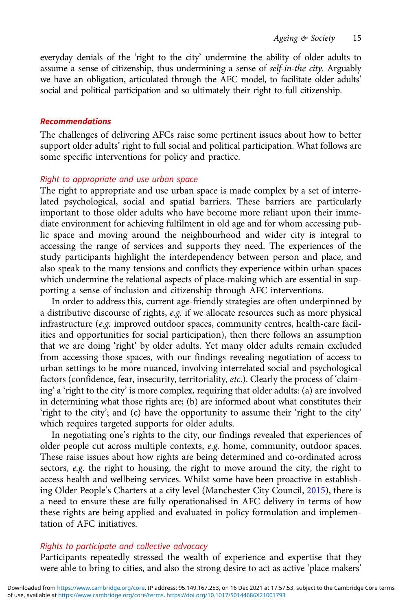everyday denials of the 'right to the city' undermine the ability of older adults to assume a sense of citizenship, thus undermining a sense of self-in-the city. Arguably we have an obligation, articulated through the AFC model, to facilitate older adults' social and political participation and so ultimately their right to full citizenship.

### **Recommendations**

The challenges of delivering AFCs raise some pertinent issues about how to better support older adults' right to full social and political participation. What follows are some specific interventions for policy and practice.

### Right to appropriate and use urban space

The right to appropriate and use urban space is made complex by a set of interrelated psychological, social and spatial barriers. These barriers are particularly important to those older adults who have become more reliant upon their immediate environment for achieving fulfilment in old age and for whom accessing public space and moving around the neighbourhood and wider city is integral to accessing the range of services and supports they need. The experiences of the study participants highlight the interdependency between person and place, and also speak to the many tensions and conflicts they experience within urban spaces which undermine the relational aspects of place-making which are essential in supporting a sense of inclusion and citizenship through AFC interventions.

In order to address this, current age-friendly strategies are often underpinned by a distributive discourse of rights, e.g. if we allocate resources such as more physical infrastructure (e.g. improved outdoor spaces, community centres, health-care facilities and opportunities for social participation), then there follows an assumption that we are doing 'right' by older adults. Yet many older adults remain excluded from accessing those spaces, with our findings revealing negotiation of access to urban settings to be more nuanced, involving interrelated social and psychological factors (confidence, fear, insecurity, territoriality, etc.). Clearly the process of 'claiming' a 'right to the city' is more complex, requiring that older adults: (a) are involved in determining what those rights are; (b) are informed about what constitutes their 'right to the city'; and (c) have the opportunity to assume their 'right to the city' which requires targeted supports for older adults.

In negotiating one's rights to the city, our findings revealed that experiences of older people cut across multiple contexts, e.g. home, community, outdoor spaces. These raise issues about how rights are being determined and co-ordinated across sectors, e.g. the right to housing, the right to move around the city, the right to access health and wellbeing services. Whilst some have been proactive in establishing Older People's Charters at a city level (Manchester City Council, [2015](#page-19-0)), there is a need to ensure these are fully operationalised in AFC delivery in terms of how these rights are being applied and evaluated in policy formulation and implementation of AFC initiatives.

## Rights to participate and collective advocacy

Participants repeatedly stressed the wealth of experience and expertise that they were able to bring to cities, and also the strong desire to act as active 'place makers'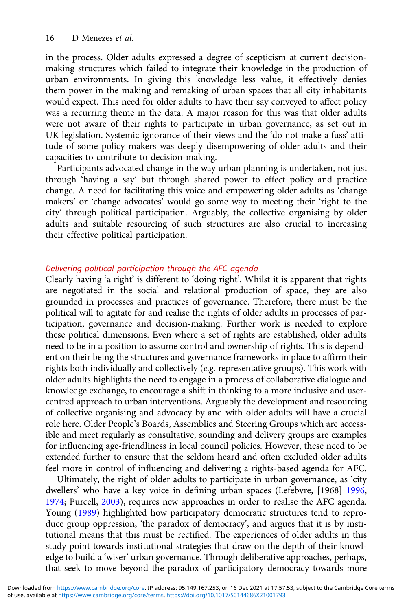in the process. Older adults expressed a degree of scepticism at current decisionmaking structures which failed to integrate their knowledge in the production of urban environments. In giving this knowledge less value, it effectively denies them power in the making and remaking of urban spaces that all city inhabitants would expect. This need for older adults to have their say conveyed to affect policy was a recurring theme in the data. A major reason for this was that older adults were not aware of their rights to participate in urban governance, as set out in UK legislation. Systemic ignorance of their views and the 'do not make a fuss' attitude of some policy makers was deeply disempowering of older adults and their capacities to contribute to decision-making.

Participants advocated change in the way urban planning is undertaken, not just through 'having a say' but through shared power to effect policy and practice change. A need for facilitating this voice and empowering older adults as 'change makers' or 'change advocates' would go some way to meeting their 'right to the city' through political participation. Arguably, the collective organising by older adults and suitable resourcing of such structures are also crucial to increasing their effective political participation.

# Delivering political participation through the AFC agenda

Clearly having 'a right' is different to 'doing right'. Whilst it is apparent that rights are negotiated in the social and relational production of space, they are also grounded in processes and practices of governance. Therefore, there must be the political will to agitate for and realise the rights of older adults in processes of participation, governance and decision-making. Further work is needed to explore these political dimensions. Even where a set of rights are established, older adults need to be in a position to assume control and ownership of rights. This is dependent on their being the structures and governance frameworks in place to affirm their rights both individually and collectively (e.g. representative groups). This work with older adults highlights the need to engage in a process of collaborative dialogue and knowledge exchange, to encourage a shift in thinking to a more inclusive and usercentred approach to urban interventions. Arguably the development and resourcing of collective organising and advocacy by and with older adults will have a crucial role here. Older People's Boards, Assemblies and Steering Groups which are accessible and meet regularly as consultative, sounding and delivery groups are examples for influencing age-friendliness in local council policies. However, these need to be extended further to ensure that the seldom heard and often excluded older adults feel more in control of influencing and delivering a rights-based agenda for AFC.

Ultimately, the right of older adults to participate in urban governance, as 'city dwellers' who have a key voice in defining urban spaces (Lefebvre, [1968] [1996](#page-19-0), [1974;](#page-19-0) Purcell, [2003\)](#page-19-0), requires new approaches in order to realise the AFC agenda. Young [\(1989\)](#page-20-0) highlighted how participatory democratic structures tend to reproduce group oppression, 'the paradox of democracy', and argues that it is by institutional means that this must be rectified. The experiences of older adults in this study point towards institutional strategies that draw on the depth of their knowledge to build a 'wiser' urban governance. Through deliberative approaches, perhaps, that seek to move beyond the paradox of participatory democracy towards more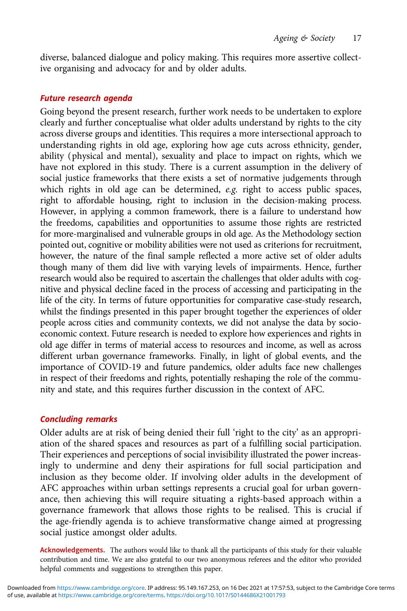diverse, balanced dialogue and policy making. This requires more assertive collective organising and advocacy for and by older adults.

### Future research agenda

Going beyond the present research, further work needs to be undertaken to explore clearly and further conceptualise what older adults understand by rights to the city across diverse groups and identities. This requires a more intersectional approach to understanding rights in old age, exploring how age cuts across ethnicity, gender, ability (physical and mental), sexuality and place to impact on rights, which we have not explored in this study. There is a current assumption in the delivery of social justice frameworks that there exists a set of normative judgements through which rights in old age can be determined, e.g. right to access public spaces, right to affordable housing, right to inclusion in the decision-making process. However, in applying a common framework, there is a failure to understand how the freedoms, capabilities and opportunities to assume those rights are restricted for more-marginalised and vulnerable groups in old age. As the Methodology section pointed out, cognitive or mobility abilities were not used as criterions for recruitment, however, the nature of the final sample reflected a more active set of older adults though many of them did live with varying levels of impairments. Hence, further research would also be required to ascertain the challenges that older adults with cognitive and physical decline faced in the process of accessing and participating in the life of the city. In terms of future opportunities for comparative case-study research, whilst the findings presented in this paper brought together the experiences of older people across cities and community contexts, we did not analyse the data by socioeconomic context. Future research is needed to explore how experiences and rights in old age differ in terms of material access to resources and income, as well as across different urban governance frameworks. Finally, in light of global events, and the importance of COVID-19 and future pandemics, older adults face new challenges in respect of their freedoms and rights, potentially reshaping the role of the community and state, and this requires further discussion in the context of AFC.

## Concluding remarks

Older adults are at risk of being denied their full 'right to the city' as an appropriation of the shared spaces and resources as part of a fulfilling social participation. Their experiences and perceptions of social invisibility illustrated the power increasingly to undermine and deny their aspirations for full social participation and inclusion as they become older. If involving older adults in the development of AFC approaches within urban settings represents a crucial goal for urban governance, then achieving this will require situating a rights-based approach within a governance framework that allows those rights to be realised. This is crucial if the age-friendly agenda is to achieve transformative change aimed at progressing social justice amongst older adults.

Acknowledgements. The authors would like to thank all the participants of this study for their valuable contribution and time. We are also grateful to our two anonymous referees and the editor who provided helpful comments and suggestions to strengthen this paper.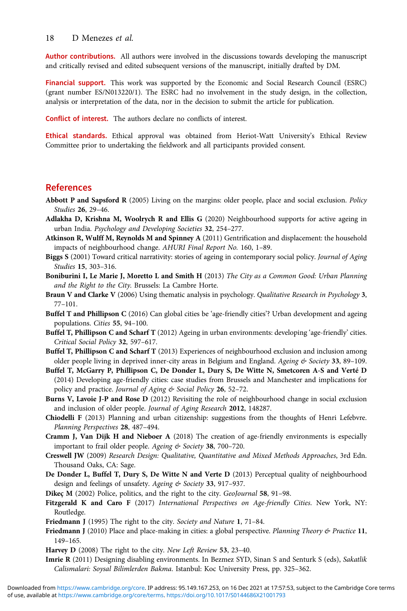#### <span id="page-18-0"></span>18 D Menezes et al.

Author contributions. All authors were involved in the discussions towards developing the manuscript and critically revised and edited subsequent versions of the manuscript, initially drafted by DM.

Financial support. This work was supported by the Economic and Social Research Council (ESRC) (grant number ES/N013220/1). The ESRC had no involvement in the study design, in the collection, analysis or interpretation of the data, nor in the decision to submit the article for publication.

Conflict of interest. The authors declare no conflicts of interest.

Ethical standards. Ethical approval was obtained from Heriot-Watt University's Ethical Review Committee prior to undertaking the fieldwork and all participants provided consent.

# References

- Abbott P and Sapsford R (2005) Living on the margins: older people, place and social exclusion. Policy Studies 26, 29–46.
- Adlakha D, Krishna M, Woolrych R and Ellis G (2020) Neighbourhood supports for active ageing in urban India. Psychology and Developing Societies 32, 254–277.
- Atkinson R, Wulff M, Reynolds M and Spinney A (2011) Gentrification and displacement: the household impacts of neighbourhood change. AHURI Final Report No. 160, 1–89.
- Biggs S (2001) Toward critical narrativity: stories of ageing in contemporary social policy. Journal of Aging Studies 15, 303–316.
- Boniburini I, Le Marie J, Moretto L and Smith H (2013) The City as a Common Good: Urban Planning and the Right to the City. Brussels: La Cambre Horte.
- Braun V and Clarke V (2006) Using thematic analysis in psychology. Qualitative Research in Psychology 3, 77–101.
- Buffel T and Phillipson C (2016) Can global cities be 'age-friendly cities'? Urban development and ageing populations. Cities 55, 94–100.
- Buffel T, Phillipson C and Scharf T (2012) Ageing in urban environments: developing 'age-friendly' cities. Critical Social Policy 32, 597–617.
- Buffel T, Phillipson C and Scharf T (2013) Experiences of neighbourhood exclusion and inclusion among older people living in deprived inner-city areas in Belgium and England. Ageing & Society 33, 89-109.
- Buffel T, McGarry P, Phillipson C, De Donder L, Dury S, De Witte N, Smetcoren A-S and Verté D (2014) Developing age-friendly cities: case studies from Brussels and Manchester and implications for policy and practice. Journal of Aging & Social Policy 26, 52-72.
- Burns V, Lavoie J-P and Rose D (2012) Revisiting the role of neighbourhood change in social exclusion and inclusion of older people. Journal of Aging Research 2012, 148287.
- Chiodelli F (2013) Planning and urban citizenship: suggestions from the thoughts of Henri Lefebvre. Planning Perspectives 28, 487–494.
- Cramm J, Van Dijk H and Nieboer A (2018) The creation of age-friendly environments is especially important to frail older people. Ageing & Society 38, 700-720.
- Creswell JW (2009) Research Design: Qualitative, Quantitative and Mixed Methods Approaches, 3rd Edn. Thousand Oaks, CA: Sage.
- De Donder L, Buffel T, Dury S, De Witte N and Verte D (2013) Perceptual quality of neighbourhood design and feelings of unsafety. Ageing & Society 33, 917-937.

Dikeç M (2002) Police, politics, and the right to the city. GeoJournal 58, 91-98.

Fitzgerald K and Caro F (2017) International Perspectives on Age-friendly Cities. New York, NY: Routledge.

- Friedmann J (1995) The right to the city. Society and Nature 1, 71-84.
- Friedmann J (2010) Place and place-making in cities: a global perspective. Planning Theory & Practice 11, 149–165.
- Harvey D (2008) The right to the city. New Left Review 53, 23–40.
- Imrie R (2011) Designing disabling environments. In Bezmez SYD, Sinan S and Senturk S (eds), Sakatlik Calismalari: Soysal Bilimlerden Bakma. Istanbul: Koc University Press, pp. 325–362.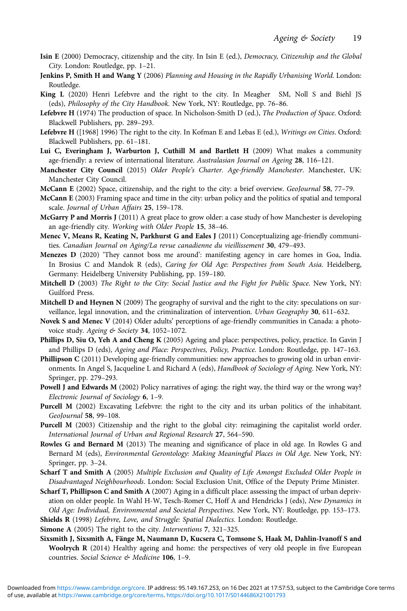- <span id="page-19-0"></span>Isin E (2000) Democracy, citizenship and the city. In Isin E (ed.), Democracy, Citizenship and the Global City. London: Routledge, pp. 1–21.
- Jenkins P, Smith H and Wang Y (2006) Planning and Housing in the Rapidly Urbanising World. London: Routledge.
- King L (2020) Henri Lefebvre and the right to the city. In Meagher SM, Noll S and Biehl JS (eds), Philosophy of the City Handbook. New York, NY: Routledge, pp. 76–86.
- Lefebvre H (1974) The production of space. In Nicholson-Smith D (ed.), The Production of Space. Oxford: Blackwell Publishers, pp. 289–293.
- Lefebvre H ([1968] 1996) The right to the city. In Kofman E and Lebas E (ed.), Writings on Cities. Oxford: Blackwell Publishers, pp. 61–181.
- Lui C, Everingham J, Warburton J, Cuthill M and Bartlett H (2009) What makes a community age-friendly: a review of international literature. Australasian Journal on Ageing 28, 116–121.
- Manchester City Council (2015) Older People's Charter. Age-friendly Manchester. Manchester, UK: Manchester City Council.
- McCann E (2002) Space, citizenship, and the right to the city: a brief overview. GeoJournal 58, 77–79.
- McCann E (2003) Framing space and time in the city: urban policy and the politics of spatial and temporal scale. Journal of Urban Affairs 25, 159–178.
- McGarry P and Morris J (2011) A great place to grow older: a case study of how Manchester is developing an age-friendly city. Working with Older People 15, 38–46.
- Menec V, Means R, Keating N, Parkhurst G and Eales J (2011) Conceptualizing age-friendly communities. Canadian Journal on Aging/La revue canadienne du vieillissement 30, 479-493.
- Menezes D (2020) 'They cannot boss me around': manifesting agency in care homes in Goa, India. In Brosius C and Mandok R (eds), Caring for Old Age: Perspectives from South Asia. Heidelberg, Germany: Heidelberg University Publishing, pp. 159–180.
- Mitchell D (2003) The Right to the City: Social Justice and the Fight for Public Space. New York, NY: Guilford Press.
- Mitchell D and Heynen N (2009) The geography of survival and the right to the city: speculations on surveillance, legal innovation, and the criminalization of intervention. Urban Geography 30, 611–632.
- Novek S and Menec V (2014) Older adults' perceptions of age-friendly communities in Canada: a photovoice study. Ageing & Society 34, 1052-1072.
- Phillips D, Siu O, Yeh A and Cheng K (2005) Ageing and place: perspectives, policy, practice. In Gavin J and Phillips D (eds), Ageing and Place: Perspectives, Policy, Practice. London: Routledge, pp. 147–163.
- Phillipson C (2011) Developing age-friendly communities: new approaches to growing old in urban environments. In Angel S, Jacqueline L and Richard A (eds), Handbook of Sociology of Aging. New York, NY: Springer, pp. 279–293.
- Powell J and Edwards M (2002) Policy narratives of aging: the right way, the third way or the wrong way? Electronic Journal of Sociology 6, 1–9.
- Purcell M (2002) Excavating Lefebvre: the right to the city and its urban politics of the inhabitant. GeoJournal 58, 99–108.
- Purcell M (2003) Citizenship and the right to the global city: reimagining the capitalist world order. International Journal of Urban and Regional Research 27, 564–590.
- Rowles G and Bernard M (2013) The meaning and significance of place in old age. In Rowles G and Bernard M (eds), Environmental Gerontology: Making Meaningful Places in Old Age. New York, NY: Springer, pp. 3–24.
- Scharf T and Smith A (2005) Multiple Exclusion and Quality of Life Amongst Excluded Older People in Disadvantaged Neighbourhoods. London: Social Exclusion Unit, Office of the Deputy Prime Minister.
- Scharf T, Phillipson C and Smith A (2007) Aging in a difficult place: assessing the impact of urban deprivation on older people. In Wahl H-W, Tesch-Romer C, Hoff A and Hendricks J (eds), New Dynamics in Old Age: Individual, Environmental and Societal Perspectives. New York, NY: Routledge, pp. 153–173.
- Shields R (1998) Lefebvre, Love, and Struggle: Spatial Dialectics. London: Routledge.
- Simone A (2005) The right to the city. Interventions 7, 321-325.
- Sixsmith J, Sixsmith A, Fänge M, Naumann D, Kucsera C, Tomsone S, Haak M, Dahlin-Ivanoff S and Woolrych R (2014) Healthy ageing and home: the perspectives of very old people in five European countries. Social Science & Medicine 106, 1–9.